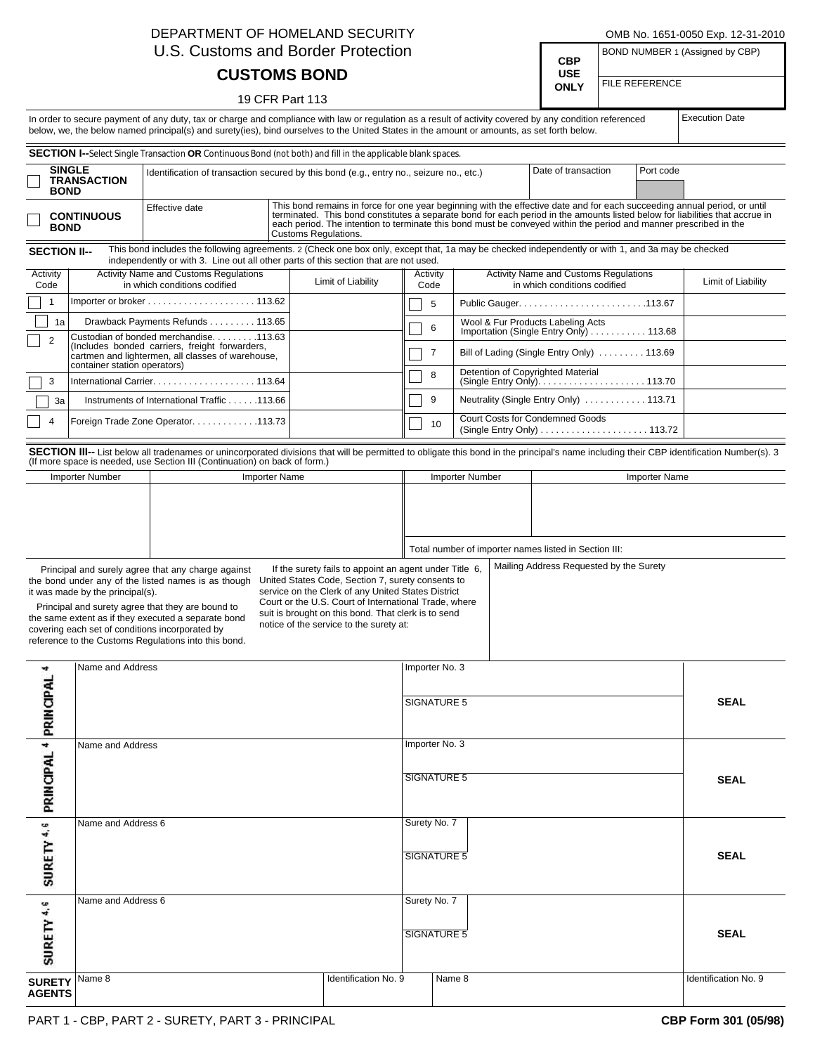| DEPARTMENT OF HOMELAND SECURITY<br>U.S. Customs and Border Protection                                                                                                                                                                                                                                                                                                                                                                                                                                                                                                                                                                                                                                                                           |                    |                                                                                                                                                                              |                      |                      |                                                                                                                                                                                                                                                                                                                                                        |                                                                                                  |                                                                                      |  | OMB No. 1651-0050 Exp. 12-31-2010<br>BOND NUMBER 1 (Assigned by CBP) |                |  |                       |  |
|-------------------------------------------------------------------------------------------------------------------------------------------------------------------------------------------------------------------------------------------------------------------------------------------------------------------------------------------------------------------------------------------------------------------------------------------------------------------------------------------------------------------------------------------------------------------------------------------------------------------------------------------------------------------------------------------------------------------------------------------------|--------------------|------------------------------------------------------------------------------------------------------------------------------------------------------------------------------|----------------------|----------------------|--------------------------------------------------------------------------------------------------------------------------------------------------------------------------------------------------------------------------------------------------------------------------------------------------------------------------------------------------------|--------------------------------------------------------------------------------------------------|--------------------------------------------------------------------------------------|--|----------------------------------------------------------------------|----------------|--|-----------------------|--|
|                                                                                                                                                                                                                                                                                                                                                                                                                                                                                                                                                                                                                                                                                                                                                 |                    |                                                                                                                                                                              |                      |                      |                                                                                                                                                                                                                                                                                                                                                        |                                                                                                  |                                                                                      |  | <b>CBP</b><br><b>USE</b>                                             |                |  |                       |  |
| <b>CUSTOMS BOND</b><br>19 CFR Part 113                                                                                                                                                                                                                                                                                                                                                                                                                                                                                                                                                                                                                                                                                                          |                    |                                                                                                                                                                              |                      |                      |                                                                                                                                                                                                                                                                                                                                                        |                                                                                                  |                                                                                      |  |                                                                      | FILE REFERENCE |  |                       |  |
| In order to secure payment of any duty, tax or charge and compliance with law or regulation as a result of activity covered by any condition referenced<br>below, we, the below named principal(s) and surety(ies), bind ourselves to the United States in the amount or amounts, as set forth below.                                                                                                                                                                                                                                                                                                                                                                                                                                           |                    |                                                                                                                                                                              |                      |                      |                                                                                                                                                                                                                                                                                                                                                        |                                                                                                  |                                                                                      |  |                                                                      |                |  | <b>Execution Date</b> |  |
| <b>SECTION I--</b> Select Single Transaction OR Continuous Bond (not both) and fill in the applicable blank spaces.                                                                                                                                                                                                                                                                                                                                                                                                                                                                                                                                                                                                                             |                    |                                                                                                                                                                              |                      |                      |                                                                                                                                                                                                                                                                                                                                                        |                                                                                                  |                                                                                      |  |                                                                      |                |  |                       |  |
| <b>SINGLE</b><br><b>BOND</b>                                                                                                                                                                                                                                                                                                                                                                                                                                                                                                                                                                                                                                                                                                                    | <b>TRANSACTION</b> | Identification of transaction secured by this bond (e.g., entry no., seizure no., etc.)                                                                                      |                      |                      |                                                                                                                                                                                                                                                                                                                                                        | Date of transaction                                                                              | Port code                                                                            |  |                                                                      |                |  |                       |  |
| <b>CONTINUOUS</b><br><b>BOND</b>                                                                                                                                                                                                                                                                                                                                                                                                                                                                                                                                                                                                                                                                                                                |                    | Effective date                                                                                                                                                               | Customs Regulations. |                      | This bond remains in force for one year beginning with the effective date and for each succeeding annual period, or until<br>terminated. This bond constitutes a separate bond for each period in the amounts listed below for li<br>each period. The intention to terminate this bond must be conveyed within the period and manner prescribed in the |                                                                                                  |                                                                                      |  |                                                                      |                |  |                       |  |
| This bond includes the following agreements. 2 (Check one box only, except that, 1a may be checked independently or with 1, and 3a may be checked<br><b>SECTION II--</b><br>independently or with 3. Line out all other parts of this section that are not used.                                                                                                                                                                                                                                                                                                                                                                                                                                                                                |                    |                                                                                                                                                                              |                      |                      |                                                                                                                                                                                                                                                                                                                                                        |                                                                                                  |                                                                                      |  |                                                                      |                |  |                       |  |
| Activity<br>Code                                                                                                                                                                                                                                                                                                                                                                                                                                                                                                                                                                                                                                                                                                                                |                    | <b>Activity Name and Customs Regulations</b><br>Limit of Liability<br>in which conditions codified                                                                           |                      |                      |                                                                                                                                                                                                                                                                                                                                                        | <b>Activity Name and Customs Regulations</b><br>Activity<br>in which conditions codified<br>Code |                                                                                      |  |                                                                      |                |  | Limit of Liability    |  |
| 1                                                                                                                                                                                                                                                                                                                                                                                                                                                                                                                                                                                                                                                                                                                                               |                    | 5<br>Public Gauger113.67                                                                                                                                                     |                      |                      |                                                                                                                                                                                                                                                                                                                                                        |                                                                                                  |                                                                                      |  |                                                                      |                |  |                       |  |
| 1a                                                                                                                                                                                                                                                                                                                                                                                                                                                                                                                                                                                                                                                                                                                                              |                    | Drawback Payments Refunds 113.65<br>6                                                                                                                                        |                      |                      |                                                                                                                                                                                                                                                                                                                                                        |                                                                                                  |                                                                                      |  | Wool & Fur Products Labeling Acts                                    |                |  |                       |  |
| $\overline{2}$                                                                                                                                                                                                                                                                                                                                                                                                                                                                                                                                                                                                                                                                                                                                  |                    | Custodian of bonded merchandise113.63<br>(Includes bonded carriers, freight forwarders,<br>cartmen and lightermen, all classes of warehouse,<br>container station operators) |                      |                      |                                                                                                                                                                                                                                                                                                                                                        |                                                                                                  | Importation (Single Entry Only) 113.68<br>Bill of Lading (Single Entry Only)  113.69 |  |                                                                      |                |  |                       |  |
| 3                                                                                                                                                                                                                                                                                                                                                                                                                                                                                                                                                                                                                                                                                                                                               |                    |                                                                                                                                                                              |                      |                      |                                                                                                                                                                                                                                                                                                                                                        | 8                                                                                                | Detention of Copyrighted Material                                                    |  |                                                                      |                |  |                       |  |
| 3a                                                                                                                                                                                                                                                                                                                                                                                                                                                                                                                                                                                                                                                                                                                                              |                    | Instruments of International Traffic 113.66                                                                                                                                  |                      |                      |                                                                                                                                                                                                                                                                                                                                                        |                                                                                                  | Neutrality (Single Entry Only) 113.71                                                |  |                                                                      |                |  |                       |  |
| 4                                                                                                                                                                                                                                                                                                                                                                                                                                                                                                                                                                                                                                                                                                                                               |                    | Foreign Trade Zone Operator. 113.73                                                                                                                                          |                      |                      |                                                                                                                                                                                                                                                                                                                                                        | 10                                                                                               | Court Costs for Condemned Goods                                                      |  |                                                                      |                |  |                       |  |
| SECTION III-- List below all tradenames or unincorporated divisions that will be permitted to obligate this bond in the principal's name including their CBP identification Number(s). 3                                                                                                                                                                                                                                                                                                                                                                                                                                                                                                                                                        |                    |                                                                                                                                                                              |                      |                      |                                                                                                                                                                                                                                                                                                                                                        |                                                                                                  |                                                                                      |  |                                                                      |                |  |                       |  |
|                                                                                                                                                                                                                                                                                                                                                                                                                                                                                                                                                                                                                                                                                                                                                 | Importer Number    | (If more space is needed, use Section III (Continuation) on back of form.)                                                                                                   | <b>Importer Name</b> |                      |                                                                                                                                                                                                                                                                                                                                                        | Importer Number                                                                                  |                                                                                      |  |                                                                      | Importer Name  |  |                       |  |
|                                                                                                                                                                                                                                                                                                                                                                                                                                                                                                                                                                                                                                                                                                                                                 |                    |                                                                                                                                                                              |                      |                      |                                                                                                                                                                                                                                                                                                                                                        |                                                                                                  |                                                                                      |  |                                                                      |                |  |                       |  |
|                                                                                                                                                                                                                                                                                                                                                                                                                                                                                                                                                                                                                                                                                                                                                 |                    |                                                                                                                                                                              |                      |                      | Total number of importer names listed in Section III:                                                                                                                                                                                                                                                                                                  |                                                                                                  |                                                                                      |  |                                                                      |                |  |                       |  |
| Mailing Address Requested by the Surety<br>If the surety fails to appoint an agent under Title 6,<br>Principal and surely agree that any charge against<br>United States Code, Section 7, surety consents to<br>the bond under any of the listed names is as though<br>service on the Clerk of any United States District<br>it was made by the principal(s).<br>Court or the U.S. Court of International Trade, where<br>Principal and surety agree that they are bound to<br>suit is brought on this bond. That clerk is to send<br>the same extent as if they executed a separate bond<br>notice of the service to the surety at:<br>covering each set of conditions incorporated by<br>reference to the Customs Regulations into this bond. |                    |                                                                                                                                                                              |                      |                      |                                                                                                                                                                                                                                                                                                                                                        |                                                                                                  |                                                                                      |  |                                                                      |                |  |                       |  |
| Name and Address<br>A,                                                                                                                                                                                                                                                                                                                                                                                                                                                                                                                                                                                                                                                                                                                          |                    |                                                                                                                                                                              |                      |                      | Importer No. 3                                                                                                                                                                                                                                                                                                                                         |                                                                                                  |                                                                                      |  |                                                                      |                |  |                       |  |
| PRINCIPAL <sup>4</sup> PRINCIPAL                                                                                                                                                                                                                                                                                                                                                                                                                                                                                                                                                                                                                                                                                                                |                    |                                                                                                                                                                              |                      |                      |                                                                                                                                                                                                                                                                                                                                                        | SIGNATURE 5                                                                                      |                                                                                      |  |                                                                      |                |  | <b>SEAL</b>           |  |
|                                                                                                                                                                                                                                                                                                                                                                                                                                                                                                                                                                                                                                                                                                                                                 | Name and Address   | Importer No. 3                                                                                                                                                               |                      |                      |                                                                                                                                                                                                                                                                                                                                                        |                                                                                                  |                                                                                      |  |                                                                      |                |  |                       |  |
|                                                                                                                                                                                                                                                                                                                                                                                                                                                                                                                                                                                                                                                                                                                                                 |                    |                                                                                                                                                                              |                      |                      |                                                                                                                                                                                                                                                                                                                                                        | <b>SIGNATURE 5</b>                                                                               |                                                                                      |  |                                                                      |                |  | <b>SEAL</b>           |  |
| SURETY <sup>4,6</sup>                                                                                                                                                                                                                                                                                                                                                                                                                                                                                                                                                                                                                                                                                                                           | Name and Address 6 |                                                                                                                                                                              |                      |                      |                                                                                                                                                                                                                                                                                                                                                        | Surety No. 7<br>SIGNATURE 5                                                                      |                                                                                      |  |                                                                      |                |  | <b>SEAL</b>           |  |
| SURETY <sup>4,6</sup>                                                                                                                                                                                                                                                                                                                                                                                                                                                                                                                                                                                                                                                                                                                           | Name and Address 6 |                                                                                                                                                                              |                      |                      |                                                                                                                                                                                                                                                                                                                                                        | Surety No. 7<br>SIGNATURE 5                                                                      |                                                                                      |  |                                                                      | <b>SEAL</b>    |  |                       |  |
| <b>SURETY</b><br><b>AGENTS</b>                                                                                                                                                                                                                                                                                                                                                                                                                                                                                                                                                                                                                                                                                                                  | Name 8             |                                                                                                                                                                              |                      | Identification No. 9 |                                                                                                                                                                                                                                                                                                                                                        | Name 8                                                                                           |                                                                                      |  |                                                                      |                |  | Identification No. 9  |  |